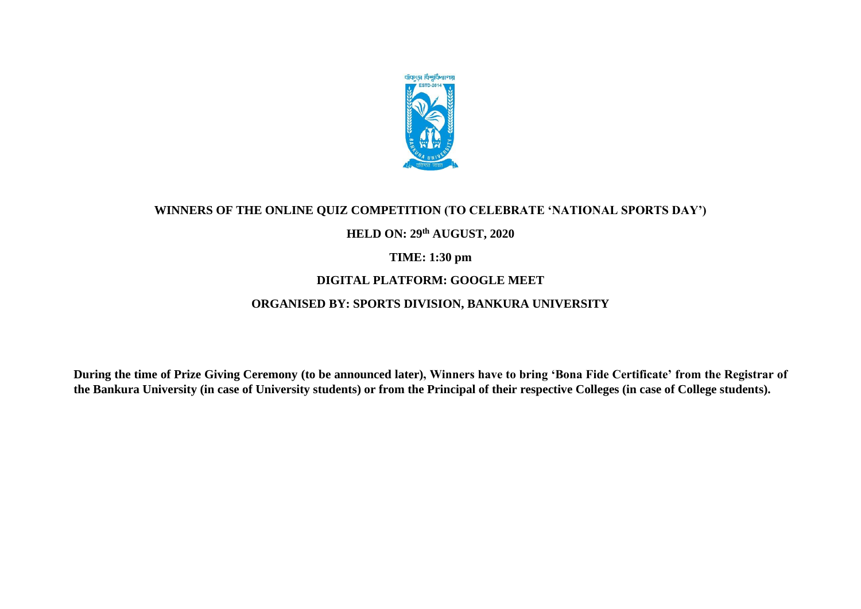

#### **WINNERS OF THE ONLINE QUIZ COMPETITION (TO CELEBRATE 'NATIONAL SPORTS DAY')**

### **HELD ON: 29th AUGUST, 2020**

### **TIME: 1:30 pm**

## **DIGITAL PLATFORM: GOOGLE MEET**

# **ORGANISED BY: SPORTS DIVISION, BANKURA UNIVERSITY**

**During the time of Prize Giving Ceremony (to be announced later), Winners have to bring 'Bona Fide Certificate' from the Registrar of the Bankura University (in case of University students) or from the Principal of their respective Colleges (in case of College students).**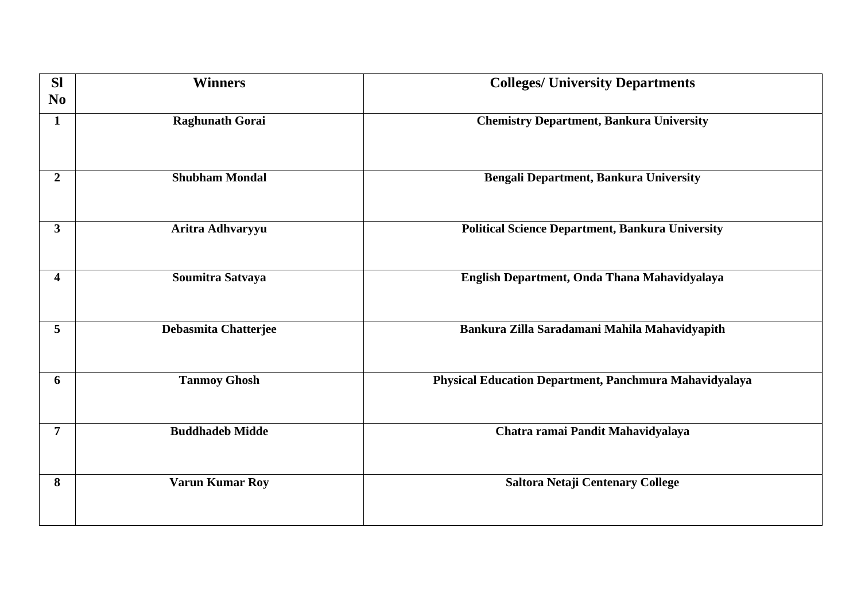| <b>SI</b>      | <b>Winners</b>         | <b>Colleges/ University Departments</b>                 |
|----------------|------------------------|---------------------------------------------------------|
| N <sub>0</sub> |                        |                                                         |
| $\mathbf{1}$   | <b>Raghunath Gorai</b> | <b>Chemistry Department, Bankura University</b>         |
| $\overline{2}$ | <b>Shubham Mondal</b>  | <b>Bengali Department, Bankura University</b>           |
| 3 <sup>1</sup> | Aritra Adhvaryyu       | <b>Political Science Department, Bankura University</b> |
| 4              | Soumitra Satvaya       | English Department, Onda Thana Mahavidyalaya            |
| 5              | Debasmita Chatterjee   | Bankura Zilla Saradamani Mahila Mahavidyapith           |
| 6              | <b>Tanmoy Ghosh</b>    | Physical Education Department, Panchmura Mahavidyalaya  |
| 7              | <b>Buddhadeb Midde</b> | Chatra ramai Pandit Mahavidyalaya                       |
| 8              | <b>Varun Kumar Roy</b> | Saltora Netaji Centenary College                        |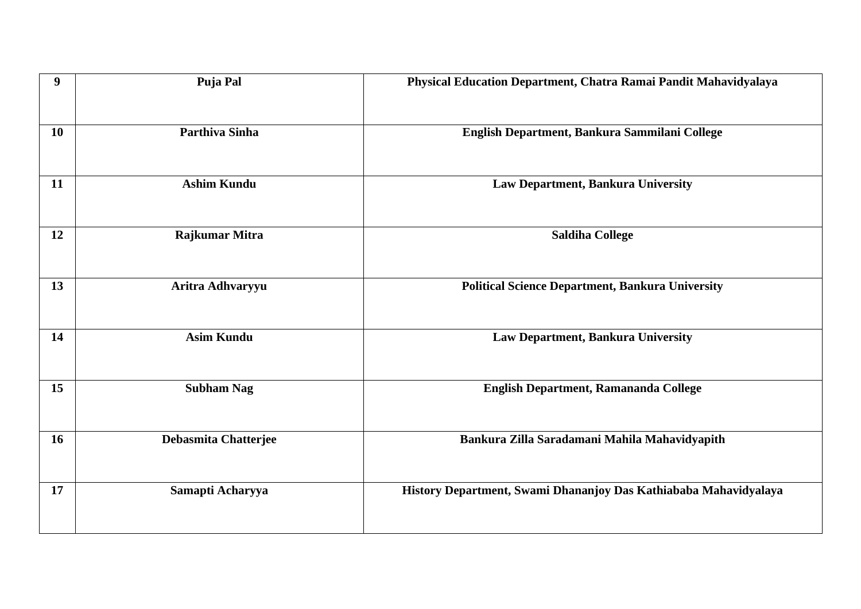| 9  | Puja Pal                    | Physical Education Department, Chatra Ramai Pandit Mahavidyalaya |
|----|-----------------------------|------------------------------------------------------------------|
| 10 | <b>Parthiva Sinha</b>       | English Department, Bankura Sammilani College                    |
| 11 | <b>Ashim Kundu</b>          | Law Department, Bankura University                               |
| 12 | Rajkumar Mitra              | <b>Saldiha College</b>                                           |
| 13 | Aritra Adhvaryyu            | <b>Political Science Department, Bankura University</b>          |
| 14 | <b>Asim Kundu</b>           | Law Department, Bankura University                               |
| 15 | <b>Subham Nag</b>           | English Department, Ramananda College                            |
| 16 | <b>Debasmita Chatterjee</b> | Bankura Zilla Saradamani Mahila Mahavidyapith                    |
| 17 | Samapti Acharyya            | History Department, Swami Dhananjoy Das Kathiababa Mahavidyalaya |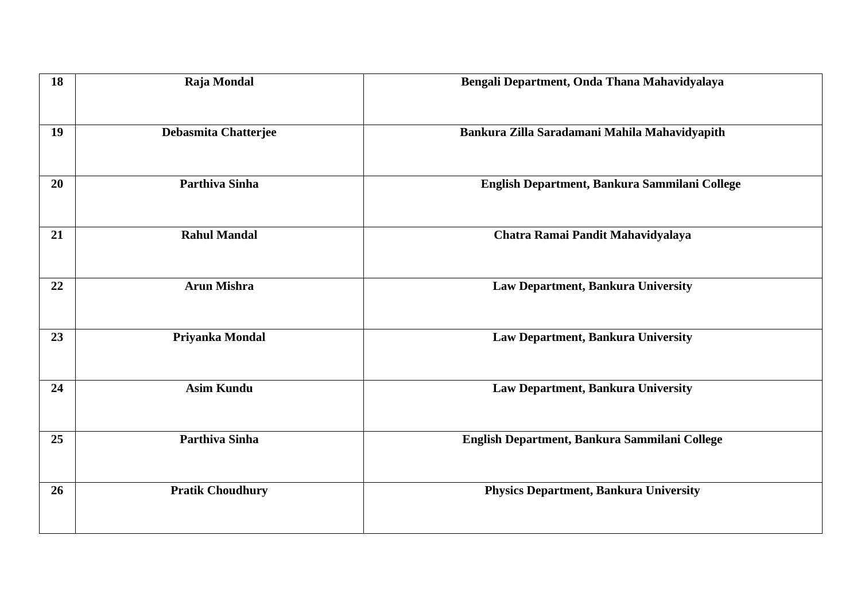| 18 | Raja Mondal             | Bengali Department, Onda Thana Mahavidyalaya  |
|----|-------------------------|-----------------------------------------------|
| 19 | Debasmita Chatterjee    | Bankura Zilla Saradamani Mahila Mahavidyapith |
| 20 | <b>Parthiva Sinha</b>   | English Department, Bankura Sammilani College |
| 21 | <b>Rahul Mandal</b>     | Chatra Ramai Pandit Mahavidyalaya             |
| 22 | <b>Arun Mishra</b>      | Law Department, Bankura University            |
| 23 | Priyanka Mondal         | Law Department, Bankura University            |
| 24 | <b>Asim Kundu</b>       | Law Department, Bankura University            |
| 25 | <b>Parthiva Sinha</b>   | English Department, Bankura Sammilani College |
| 26 | <b>Pratik Choudhury</b> | <b>Physics Department, Bankura University</b> |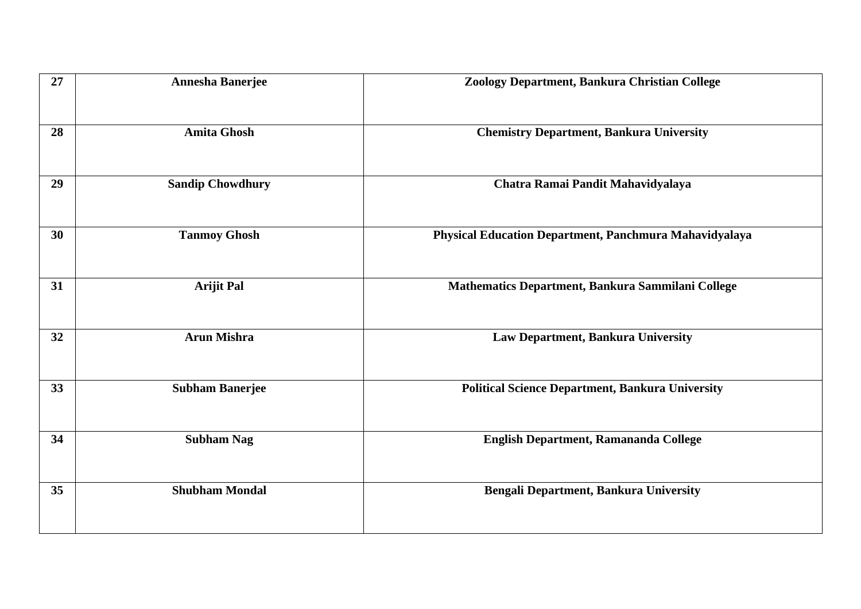| 27 | <b>Annesha Banerjee</b> | Zoology Department, Bankura Christian College           |
|----|-------------------------|---------------------------------------------------------|
| 28 | <b>Amita Ghosh</b>      | <b>Chemistry Department, Bankura University</b>         |
| 29 | <b>Sandip Chowdhury</b> | Chatra Ramai Pandit Mahavidyalaya                       |
| 30 | <b>Tanmoy Ghosh</b>     | Physical Education Department, Panchmura Mahavidyalaya  |
| 31 | <b>Arijit Pal</b>       | Mathematics Department, Bankura Sammilani College       |
| 32 | <b>Arun Mishra</b>      | Law Department, Bankura University                      |
| 33 | <b>Subham Banerjee</b>  | <b>Political Science Department, Bankura University</b> |
| 34 | <b>Subham Nag</b>       | English Department, Ramananda College                   |
| 35 | <b>Shubham Mondal</b>   | Bengali Department, Bankura University                  |